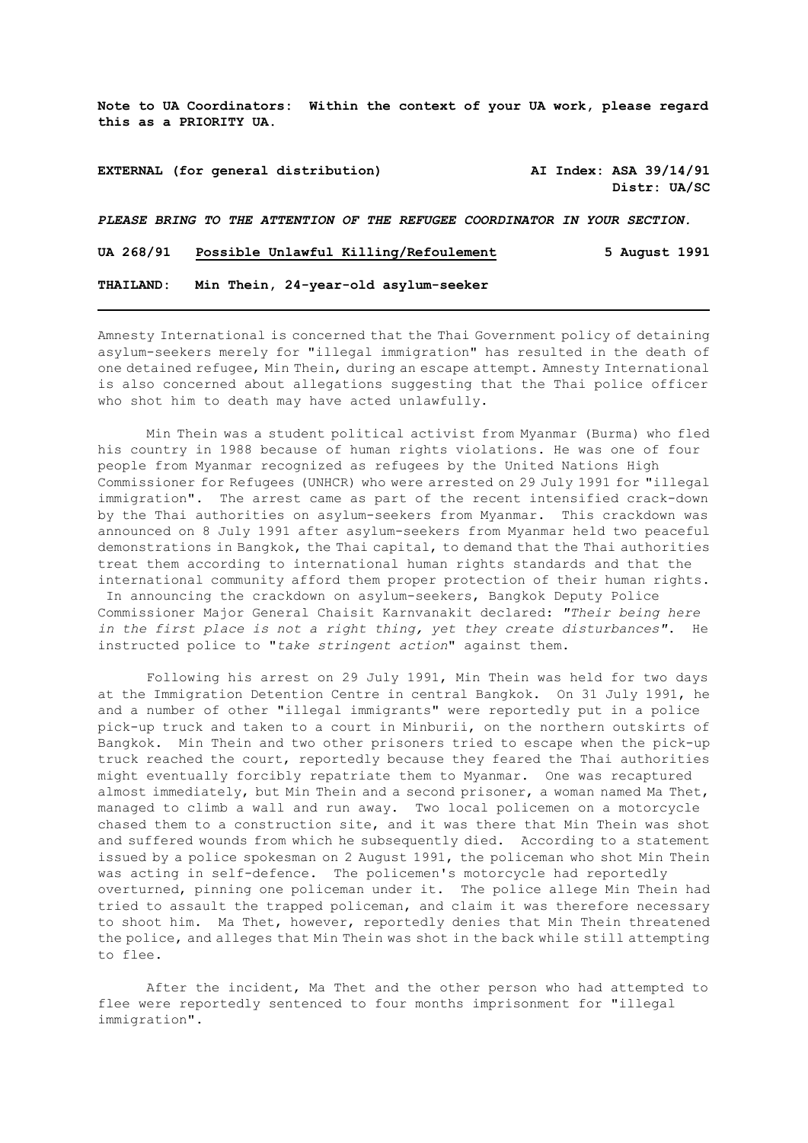**Note to UA Coordinators: Within the context of your UA work, please regard this as a PRIORITY UA.**

**EXTERNAL (for general distribution) AI Index: ASA 39/14/91 Distr: UA/SC**  *PLEASE BRING TO THE ATTENTION OF THE REFUGEE COORDINATOR IN YOUR SECTION.*

**UA 268/91 Possible Unlawful Killing/Refoulement 5 August 1991**

**THAILAND: Min Thein, 24-year-old asylum-seeker**

Amnesty International is concerned that the Thai Government policy of detaining asylum-seekers merely for "illegal immigration" has resulted in the death of one detained refugee, Min Thein, during an escape attempt. Amnesty International is also concerned about allegations suggesting that the Thai police officer who shot him to death may have acted unlawfully.

Min Thein was a student political activist from Myanmar (Burma) who fled his country in 1988 because of human rights violations. He was one of four people from Myanmar recognized as refugees by the United Nations High Commissioner for Refugees (UNHCR) who were arrested on 29 July 1991 for "illegal immigration". The arrest came as part of the recent intensified crack-down by the Thai authorities on asylum-seekers from Myanmar. This crackdown was announced on 8 July 1991 after asylum-seekers from Myanmar held two peaceful demonstrations in Bangkok, the Thai capital, to demand that the Thai authorities treat them according to international human rights standards and that the international community afford them proper protection of their human rights. In announcing the crackdown on asylum-seekers, Bangkok Deputy Police Commissioner Major General Chaisit Karnvanakit declared: *"Their being here in the first place is not a right thing, yet they create disturbances"*. He instructed police to "*take stringent action*" against them.

Following his arrest on 29 July 1991, Min Thein was held for two days at the Immigration Detention Centre in central Bangkok. On 31 July 1991, he and a number of other "illegal immigrants" were reportedly put in a police pick-up truck and taken to a court in Minburii, on the northern outskirts of Bangkok. Min Thein and two other prisoners tried to escape when the pick-up truck reached the court, reportedly because they feared the Thai authorities might eventually forcibly repatriate them to Myanmar. One was recaptured almost immediately, but Min Thein and a second prisoner, a woman named Ma Thet, managed to climb a wall and run away. Two local policemen on a motorcycle chased them to a construction site, and it was there that Min Thein was shot and suffered wounds from which he subsequently died. According to a statement issued by a police spokesman on 2 August 1991, the policeman who shot Min Thein was acting in self-defence. The policemen's motorcycle had reportedly overturned, pinning one policeman under it. The police allege Min Thein had tried to assault the trapped policeman, and claim it was therefore necessary to shoot him. Ma Thet, however, reportedly denies that Min Thein threatened the police, and alleges that Min Thein was shot in the back while still attempting to flee.

After the incident, Ma Thet and the other person who had attempted to flee were reportedly sentenced to four months imprisonment for "illegal immigration".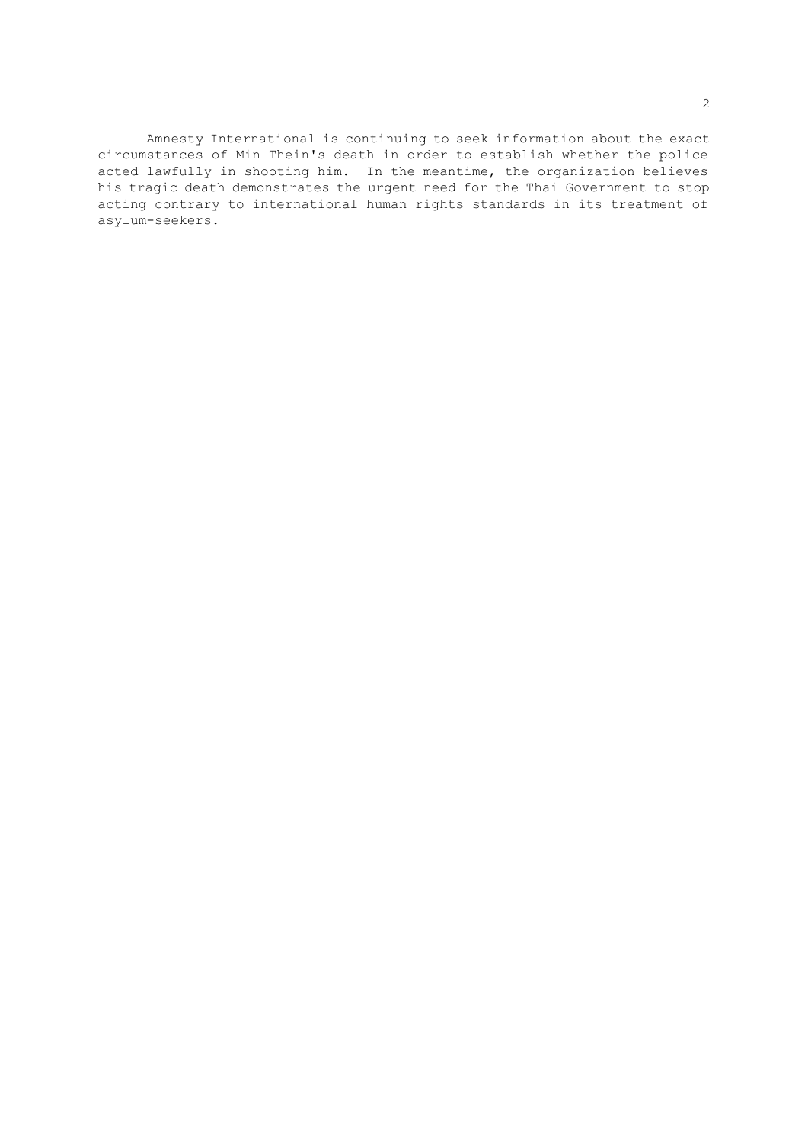Amnesty International is continuing to seek information about the exact circumstances of Min Thein's death in order to establish whether the police acted lawfully in shooting him. In the meantime, the organization believes his tragic death demonstrates the urgent need for the Thai Government to stop acting contrary to international human rights standards in its treatment of asylum-seekers.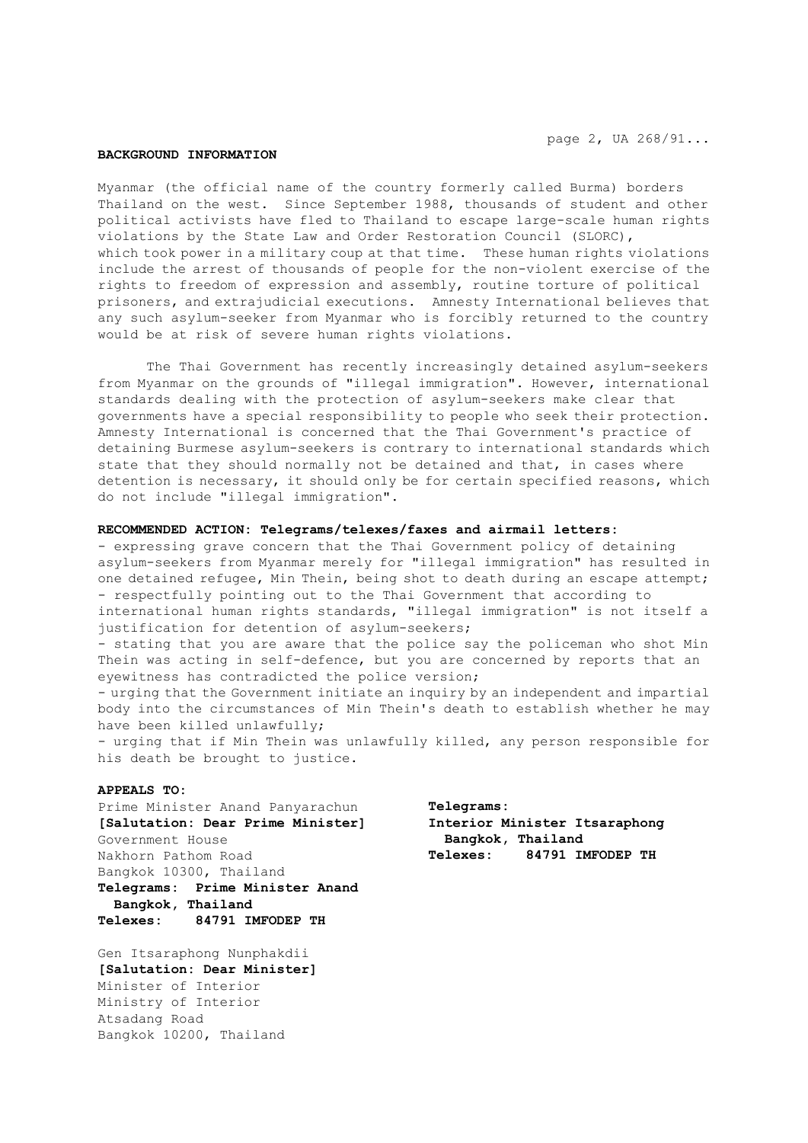## **BACKGROUND INFORMATION**

Myanmar (the official name of the country formerly called Burma) borders Thailand on the west. Since September 1988, thousands of student and other political activists have fled to Thailand to escape large-scale human rights violations by the State Law and Order Restoration Council (SLORC), which took power in a military coup at that time. These human rights violations include the arrest of thousands of people for the non-violent exercise of the rights to freedom of expression and assembly, routine torture of political prisoners, and extrajudicial executions. Amnesty International believes that any such asylum-seeker from Myanmar who is forcibly returned to the country would be at risk of severe human rights violations.

The Thai Government has recently increasingly detained asylum-seekers from Myanmar on the grounds of "illegal immigration". However, international standards dealing with the protection of asylum-seekers make clear that governments have a special responsibility to people who seek their protection. Amnesty International is concerned that the Thai Government's practice of detaining Burmese asylum-seekers is contrary to international standards which state that they should normally not be detained and that, in cases where detention is necessary, it should only be for certain specified reasons, which do not include "illegal immigration".

## **RECOMMENDED ACTION: Telegrams/telexes/faxes and airmail letters:**

- expressing grave concern that the Thai Government policy of detaining asylum-seekers from Myanmar merely for "illegal immigration" has resulted in one detained refugee, Min Thein, being shot to death during an escape attempt; - respectfully pointing out to the Thai Government that according to international human rights standards, "illegal immigration" is not itself a justification for detention of asylum-seekers;

- stating that you are aware that the police say the policeman who shot Min Thein was acting in self-defence, but you are concerned by reports that an eyewitness has contradicted the police version;

- urging that the Government initiate an inquiry by an independent and impartial body into the circumstances of Min Thein's death to establish whether he may have been killed unlawfully;

- urging that if Min Thein was unlawfully killed, any person responsible for his death be brought to justice.

## **APPEALS TO:**

Prime Minister Anand Panyarachun **[Salutation: Dear Prime Minister]** Government House Nakhorn Pathom Road Bangkok 10300, Thailand **Telegrams: Prime Minister Anand Bangkok, Thailand Telexes: 84791 IMFODEP TH**

Gen Itsaraphong Nunphakdii **[Salutation: Dear Minister]** Minister of Interior Ministry of Interior Atsadang Road Bangkok 10200, Thailand

**Telegrams: Interior Minister Itsaraphong Bangkok, Thailand Telexes: 84791 IMFODEP TH**